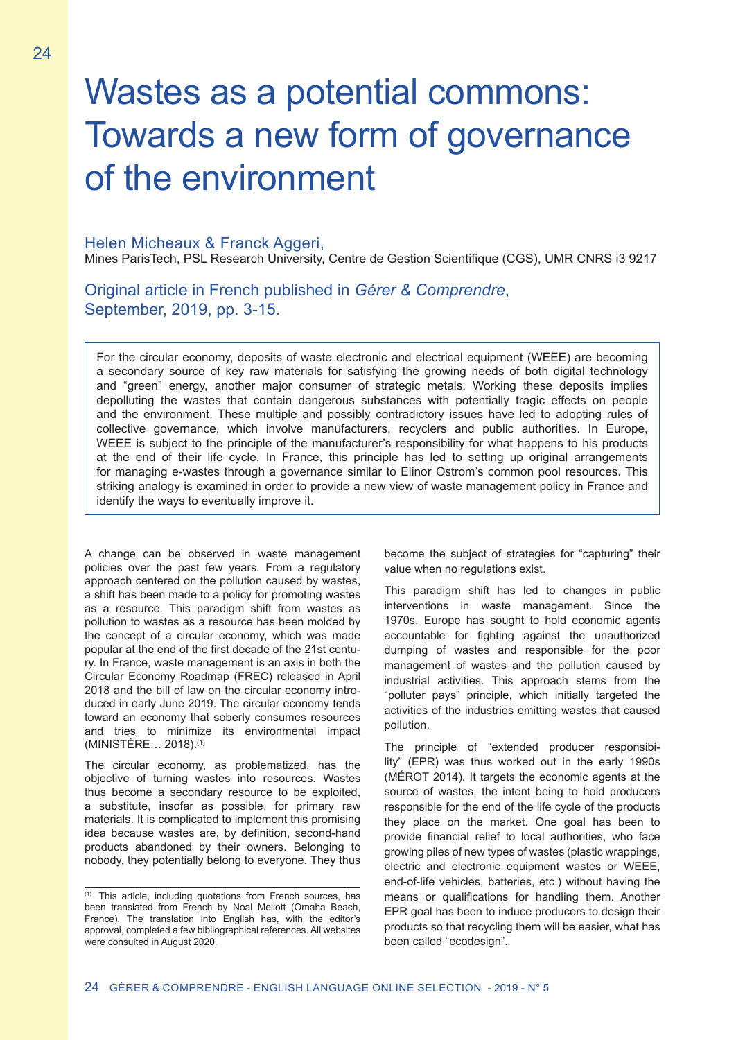# Wastes as a potential commons: Towards a new form of governance of the environment

Helen Micheaux & Franck Aggeri, Mines ParisTech, PSL Research University, Centre de Gestion Scientifique (CGS), UMR CNRS i3 9217

Original article in French published in *Gérer & Comprendre*, September, 2019, pp. 3-15.

For the circular economy, deposits of waste electronic and electrical equipment (WEEE) are becoming a secondary source of key raw materials for satisfying the growing needs of both digital technology and "green" energy, another major consumer of strategic metals. Working these deposits implies depolluting the wastes that contain dangerous substances with potentially tragic effects on people and the environment. These multiple and possibly contradictory issues have led to adopting rules of collective governance, which involve manufacturers, recyclers and public authorities. In Europe, WEEE is subject to the principle of the manufacturer's responsibility for what happens to his products at the end of their life cycle. In France, this principle has led to setting up original arrangements for managing e-wastes through a governance similar to Elinor Ostrom's common pool resources. This striking analogy is examined in order to provide a new view of waste management policy in France and identify the ways to eventually improve it.

A change can be observed in waste management policies over the past few years. From a regulatory approach centered on the pollution caused by wastes, a shift has been made to a policy for promoting wastes as a resource. This paradigm shift from wastes as pollution to wastes as a resource has been molded by the concept of a circular economy, which was made popular at the end of the first decade of the 21st century. In France, waste management is an axis in both the Circular Economy Roadmap (FREC) released in April 2018 and the bill of law on the circular economy introduced in early June 2019. The circular economy tends toward an economy that soberly consumes resources and tries to minimize its environmental impact (MINISTÈRE… 2018).(1)

The circular economy, as problematized, has the objective of turning wastes into resources. Wastes thus become a secondary resource to be exploited, a substitute, insofar as possible, for primary raw materials. It is complicated to implement this promising idea because wastes are, by definition, second-hand products abandoned by their owners. Belonging to nobody, they potentially belong to everyone. They thus

become the subject of strategies for "capturing" their value when no regulations exist.

This paradigm shift has led to changes in public interventions in waste management. Since the 1970s, Europe has sought to hold economic agents accountable for fighting against the unauthorized dumping of wastes and responsible for the poor management of wastes and the pollution caused by industrial activities. This approach stems from the "polluter pays" principle, which initially targeted the activities of the industries emitting wastes that caused pollution.

The principle of "extended producer responsibility" (EPR) was thus worked out in the early 1990s (MÉROT 2014). It targets the economic agents at the source of wastes, the intent being to hold producers responsible for the end of the life cycle of the products they place on the market. One goal has been to provide financial relief to local authorities, who face growing piles of new types of wastes (plastic wrappings, electric and electronic equipment wastes or WEEE, end-of-life vehicles, batteries, etc.) without having the means or qualifications for handling them. Another EPR goal has been to induce producers to design their products so that recycling them will be easier, what has been called "ecodesign".

<sup>(1)</sup> This article, including quotations from French sources, has been translated from French by Noal Mellott (Omaha Beach, France). The translation into English has, with the editor's approval, completed a few bibliographical references. All websites were consulted in August 2020.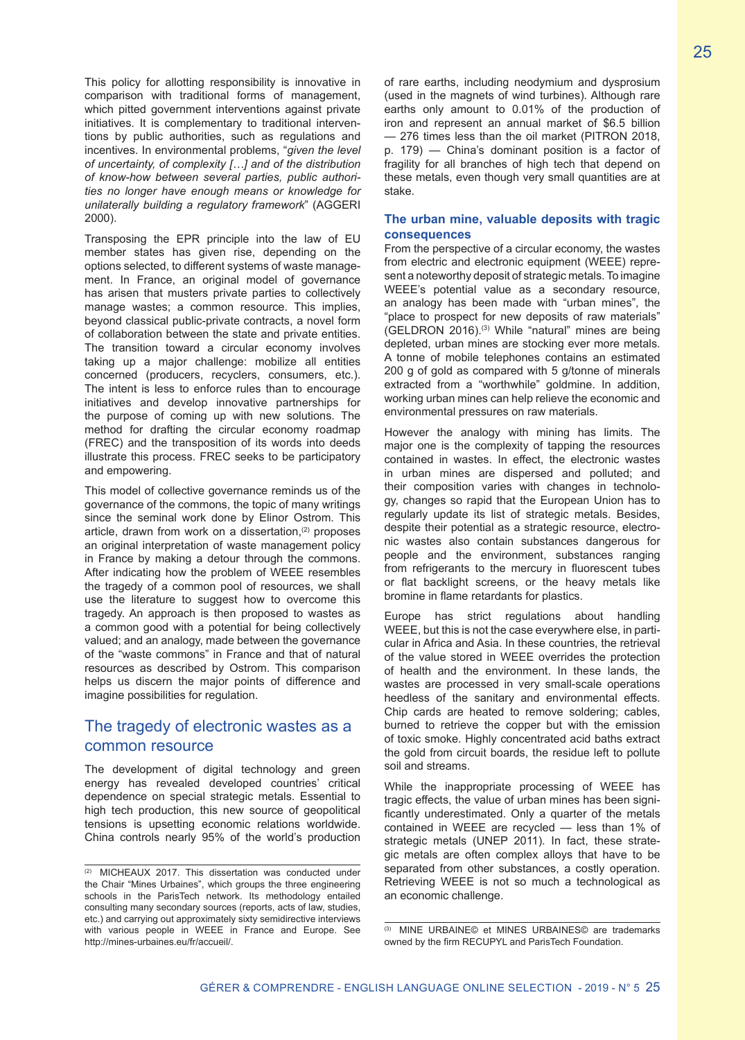This policy for allotting responsibility is innovative in comparison with traditional forms of management, which pitted government interventions against private initiatives. It is complementary to traditional interventions by public authorities, such as regulations and incentives. In environmental problems, "*given the level of uncertainty, of complexity […] and of the distribution of know-how between several parties, public authorities no longer have enough means or knowledge for unilaterally building a regulatory framework*" (AGGERI 2000).

Transposing the EPR principle into the law of EU member states has given rise, depending on the options selected, to different systems of waste management. In France, an original model of governance has arisen that musters private parties to collectively manage wastes; a common resource. This implies, beyond classical public-private contracts, a novel form of collaboration between the state and private entities. The transition toward a circular economy involves taking up a major challenge: mobilize all entities concerned (producers, recyclers, consumers, etc.). The intent is less to enforce rules than to encourage initiatives and develop innovative partnerships for the purpose of coming up with new solutions. The method for drafting the circular economy roadmap (FREC) and the transposition of its words into deeds illustrate this process. FREC seeks to be participatory and empowering.

This model of collective governance reminds us of the governance of the commons, the topic of many writings since the seminal work done by Elinor Ostrom. This article, drawn from work on a dissertation,<sup>(2)</sup> proposes an original interpretation of waste management policy in France by making a detour through the commons. After indicating how the problem of WEEE resembles the tragedy of a common pool of resources, we shall use the literature to suggest how to overcome this tragedy. An approach is then proposed to wastes as a common good with a potential for being collectively valued; and an analogy, made between the governance of the "waste commons" in France and that of natural resources as described by Ostrom. This comparison helps us discern the major points of difference and imagine possibilities for regulation.

# The tragedy of electronic wastes as a common resource

The development of digital technology and green energy has revealed developed countries' critical dependence on special strategic metals. Essential to high tech production, this new source of geopolitical tensions is upsetting economic relations worldwide. China controls nearly 95% of the world's production of rare earths, including neodymium and dysprosium (used in the magnets of wind turbines). Although rare earths only amount to 0.01% of the production of iron and represent an annual market of \$6.5 billion — 276 times less than the oil market (PITRON 2018, p. 179) — China's dominant position is a factor of fragility for all branches of high tech that depend on these metals, even though very small quantities are at stake.

## **The urban mine, valuable deposits with tragic consequences**

From the perspective of a circular economy, the wastes from electric and electronic equipment (WEEE) represent a noteworthy deposit of strategic metals. To imagine WEEE's potential value as a secondary resource, an analogy has been made with "urban mines", the "place to prospect for new deposits of raw materials" (GELDRON 2016).<sup>(3)</sup> While "natural" mines are being depleted, urban mines are stocking ever more metals. A tonne of mobile telephones contains an estimated 200 g of gold as compared with 5 g/tonne of minerals extracted from a "worthwhile" goldmine. In addition, working urban mines can help relieve the economic and environmental pressures on raw materials.

However the analogy with mining has limits. The major one is the complexity of tapping the resources contained in wastes. In effect, the electronic wastes in urban mines are dispersed and polluted; and their composition varies with changes in technology, changes so rapid that the European Union has to regularly update its list of strategic metals. Besides, despite their potential as a strategic resource, electronic wastes also contain substances dangerous for people and the environment, substances ranging from refrigerants to the mercury in fluorescent tubes or flat backlight screens, or the heavy metals like bromine in flame retardants for plastics.

Europe has strict regulations about handling WEEE, but this is not the case everywhere else, in particular in Africa and Asia. In these countries, the retrieval of the value stored in WEEE overrides the protection of health and the environment. In these lands, the wastes are processed in very small-scale operations heedless of the sanitary and environmental effects. Chip cards are heated to remove soldering; cables, burned to retrieve the copper but with the emission of toxic smoke. Highly concentrated acid baths extract the gold from circuit boards, the residue left to pollute soil and streams.

While the inappropriate processing of WEEE has tragic effects, the value of urban mines has been significantly underestimated. Only a quarter of the metals contained in WEEE are recycled — less than 1% of strategic metals (UNEP 2011). In fact, these strategic metals are often complex alloys that have to be separated from other substances, a costly operation. Retrieving WEEE is not so much a technological as an economic challenge.

<sup>(2)</sup> MICHEAUX 2017. This dissertation was conducted under the Chair "Mines Urbaines", which groups the three engineering schools in the ParisTech network. Its methodology entailed consulting many secondary sources (reports, acts of law, studies, etc.) and carrying out approximately sixty semidirective interviews with various people in WEEE in France and Europe. See http://mines-urbaines.eu/fr/accueil/.

<sup>(3)</sup> MINE URBAINE© et MINES URBAINES© are trademarks owned by the firm RECUPYL and ParisTech Foundation.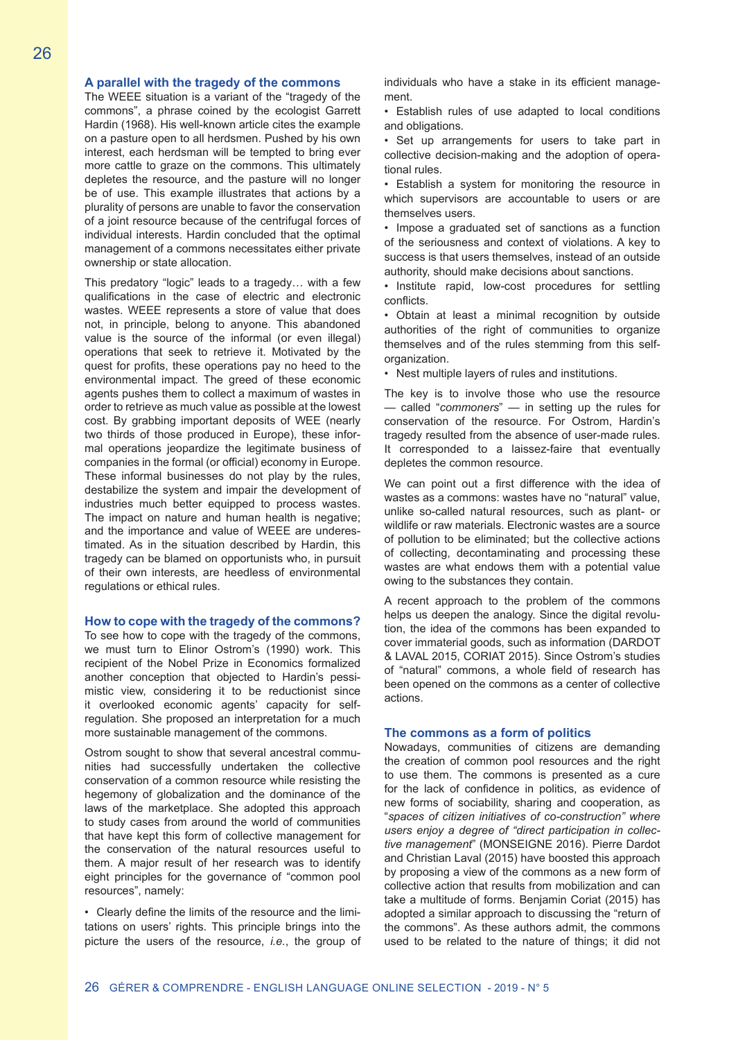#### **A parallel with the tragedy of the commons**

The WEEE situation is a variant of the "tragedy of the commons", a phrase coined by the ecologist Garrett Hardin (1968). His well-known article cites the example on a pasture open to all herdsmen. Pushed by his own interest, each herdsman will be tempted to bring ever more cattle to graze on the commons. This ultimately depletes the resource, and the pasture will no longer be of use. This example illustrates that actions by a plurality of persons are unable to favor the conservation of a joint resource because of the centrifugal forces of individual interests. Hardin concluded that the optimal management of a commons necessitates either private ownership or state allocation.

This predatory "logic" leads to a tragedy… with a few qualifications in the case of electric and electronic wastes. WEEE represents a store of value that does not, in principle, belong to anyone. This abandoned value is the source of the informal (or even illegal) operations that seek to retrieve it. Motivated by the quest for profits, these operations pay no heed to the environmental impact. The greed of these economic agents pushes them to collect a maximum of wastes in order to retrieve as much value as possible at the lowest cost. By grabbing important deposits of WEE (nearly two thirds of those produced in Europe), these informal operations jeopardize the legitimate business of companies in the formal (or official) economy in Europe. These informal businesses do not play by the rules, destabilize the system and impair the development of industries much better equipped to process wastes. The impact on nature and human health is negative; and the importance and value of WEEE are underestimated. As in the situation described by Hardin, this tragedy can be blamed on opportunists who, in pursuit of their own interests, are heedless of environmental regulations or ethical rules.

#### **How to cope with the tragedy of the commons?**

To see how to cope with the tragedy of the commons, we must turn to Elinor Ostrom's (1990) work. This recipient of the Nobel Prize in Economics formalized another conception that objected to Hardin's pessimistic view, considering it to be reductionist since it overlooked economic agents' capacity for selfregulation. She proposed an interpretation for a much more sustainable management of the commons.

Ostrom sought to show that several ancestral communities had successfully undertaken the collective conservation of a common resource while resisting the hegemony of globalization and the dominance of the laws of the marketplace. She adopted this approach to study cases from around the world of communities that have kept this form of collective management for the conservation of the natural resources useful to them. A major result of her research was to identify eight principles for the governance of "common pool resources", namely:

• Clearly define the limits of the resource and the limitations on users' rights. This principle brings into the picture the users of the resource, *i.e.*, the group of individuals who have a stake in its efficient management.

• Establish rules of use adapted to local conditions and obligations.

• Set up arrangements for users to take part in collective decision-making and the adoption of operational rules.

• Establish a system for monitoring the resource in which supervisors are accountable to users or are themselves users.

• Impose a graduated set of sanctions as a function of the seriousness and context of violations. A key to success is that users themselves, instead of an outside authority, should make decisions about sanctions.

• Institute rapid, low-cost procedures for settling conflicts.

• Obtain at least a minimal recognition by outside authorities of the right of communities to organize themselves and of the rules stemming from this selforganization.

• Nest multiple layers of rules and institutions.

The key is to involve those who use the resource — called "*commoners*" — in setting up the rules for conservation of the resource. For Ostrom, Hardin's tragedy resulted from the absence of user-made rules. It corresponded to a laissez-faire that eventually depletes the common resource.

We can point out a first difference with the idea of wastes as a commons: wastes have no "natural" value, unlike so-called natural resources, such as plant- or wildlife or raw materials. Electronic wastes are a source of pollution to be eliminated; but the collective actions of collecting, decontaminating and processing these wastes are what endows them with a potential value owing to the substances they contain.

A recent approach to the problem of the commons helps us deepen the analogy. Since the digital revolution, the idea of the commons has been expanded to cover immaterial goods, such as information (DARDOT & LAVAL 2015, CORIAT 2015). Since Ostrom's studies of "natural" commons, a whole field of research has been opened on the commons as a center of collective actions.

#### **The commons as a form of politics**

Nowadays, communities of citizens are demanding the creation of common pool resources and the right to use them. The commons is presented as a cure for the lack of confidence in politics, as evidence of new forms of sociability, sharing and cooperation, as "*spaces of citizen initiatives of co-construction" where users enjoy a degree of "direct participation in collective management*" (MONSEIGNE 2016). Pierre Dardot and Christian Laval (2015) have boosted this approach by proposing a view of the commons as a new form of collective action that results from mobilization and can take a multitude of forms. Benjamin Coriat (2015) has adopted a similar approach to discussing the "return of the commons". As these authors admit, the commons used to be related to the nature of things; it did not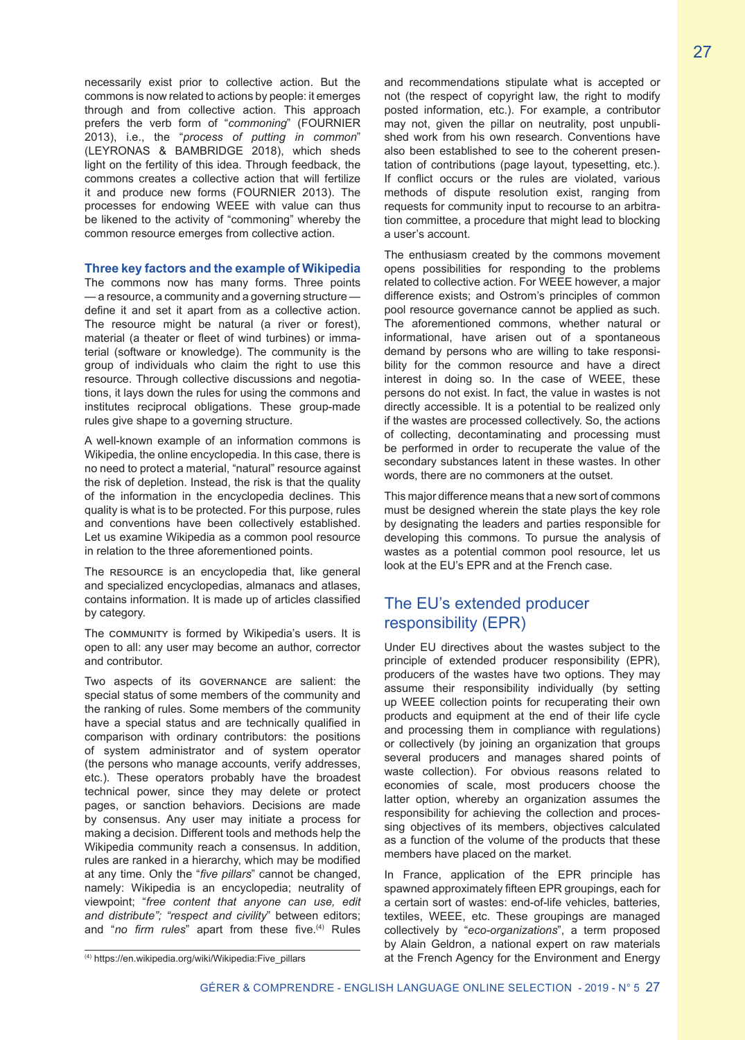processes for endowing WEEE with value can thus be likened to the activity of "commoning" whereby the common resource emerges from collective action.

#### **Three key factors and the example of Wikipedia**

The commons now has many forms. Three points — a resource, a community and a governing structure define it and set it apart from as a collective action. The resource might be natural (a river or forest), material (a theater or fleet of wind turbines) or immaterial (software or knowledge). The community is the group of individuals who claim the right to use this resource. Through collective discussions and negotiations, it lays down the rules for using the commons and institutes reciprocal obligations. These group-made rules give shape to a governing structure.

A well-known example of an information commons is Wikipedia, the online encyclopedia. In this case, there is no need to protect a material, "natural" resource against the risk of depletion. Instead, the risk is that the quality of the information in the encyclopedia declines. This quality is what is to be protected. For this purpose, rules and conventions have been collectively established. Let us examine Wikipedia as a common pool resource in relation to the three aforementioned points.

The RESOURCE is an encyclopedia that, like general and specialized encyclopedias, almanacs and atlases, contains information. It is made up of articles classified by category.

The community is formed by Wikipedia's users. It is open to all: any user may become an author, corrector and contributor.

Two aspects of its governance are salient: the special status of some members of the community and the ranking of rules. Some members of the community have a special status and are technically qualified in comparison with ordinary contributors: the positions of system administrator and of system operator (the persons who manage accounts, verify addresses, etc.). These operators probably have the broadest technical power, since they may delete or protect pages, or sanction behaviors. Decisions are made by consensus. Any user may initiate a process for making a decision. Different tools and methods help the Wikipedia community reach a consensus. In addition, rules are ranked in a hierarchy, which may be modified at any time. Only the "*five pillars*" cannot be changed, namely: Wikipedia is an encyclopedia; neutrality of viewpoint; "*free content that anyone can use, edit and distribute"; "respect and civility*" between editors; and "no firm rules" apart from these five.<sup>(4)</sup> Rules

and recommendations stipulate what is accepted or not (the respect of copyright law, the right to modify posted information, etc.). For example, a contributor may not, given the pillar on neutrality, post unpublished work from his own research. Conventions have also been established to see to the coherent presentation of contributions (page layout, typesetting, etc.). If conflict occurs or the rules are violated, various methods of dispute resolution exist, ranging from requests for community input to recourse to an arbitration committee, a procedure that might lead to blocking a user's account.

The enthusiasm created by the commons movement opens possibilities for responding to the problems related to collective action. For WEEE however, a major difference exists; and Ostrom's principles of common pool resource governance cannot be applied as such. The aforementioned commons, whether natural or informational, have arisen out of a spontaneous demand by persons who are willing to take responsibility for the common resource and have a direct interest in doing so. In the case of WEEE, these persons do not exist. In fact, the value in wastes is not directly accessible. It is a potential to be realized only if the wastes are processed collectively. So, the actions of collecting, decontaminating and processing must be performed in order to recuperate the value of the secondary substances latent in these wastes. In other words, there are no commoners at the outset.

This major difference means that a new sort of commons must be designed wherein the state plays the key role by designating the leaders and parties responsible for developing this commons. To pursue the analysis of wastes as a potential common pool resource, let us look at the EU's EPR and at the French case.

# The EU's extended producer responsibility (EPR)

Under EU directives about the wastes subject to the principle of extended producer responsibility (EPR), producers of the wastes have two options. They may assume their responsibility individually (by setting up WEEE collection points for recuperating their own products and equipment at the end of their life cycle and processing them in compliance with regulations) or collectively (by joining an organization that groups several producers and manages shared points of waste collection). For obvious reasons related to economies of scale, most producers choose the latter option, whereby an organization assumes the responsibility for achieving the collection and processing objectives of its members, objectives calculated as a function of the volume of the products that these members have placed on the market.

In France, application of the EPR principle has spawned approximately fifteen EPR groupings, each for a certain sort of wastes: end-of-life vehicles, batteries, textiles, WEEE, etc. These groupings are managed collectively by "*eco-organizations*", a term proposed by Alain Geldron, a national expert on raw materials at the French Agency for the Environment and Energy 27

<sup>(4)</sup> https://en.wikipedia.org/wiki/Wikipedia:Five\_pillars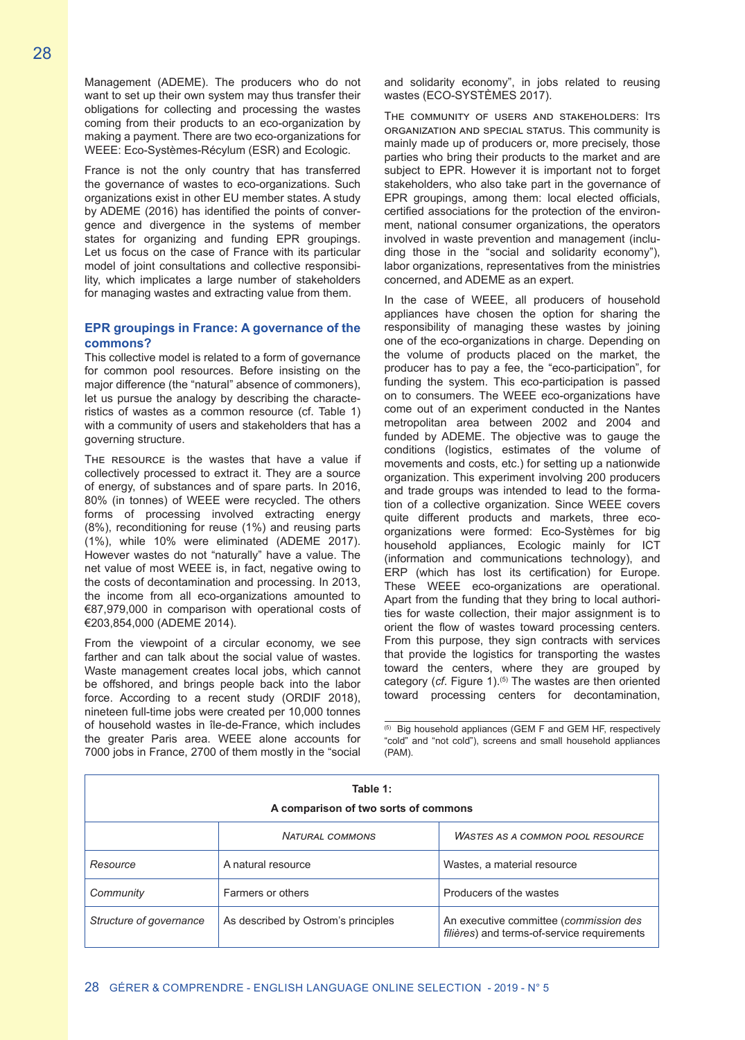Management (ADEME). The producers who do not want to set up their own system may thus transfer their obligations for collecting and processing the wastes coming from their products to an eco-organization by making a payment. There are two eco-organizations for WEEE: Eco-Systèmes-Récylum (ESR) and Ecologic.

France is not the only country that has transferred the governance of wastes to eco-organizations. Such organizations exist in other EU member states. A study by ADEME (2016) has identified the points of convergence and divergence in the systems of member states for organizing and funding EPR groupings. Let us focus on the case of France with its particular model of joint consultations and collective responsibility, which implicates a large number of stakeholders for managing wastes and extracting value from them.

## **EPR groupings in France: A governance of the commons?**

This collective model is related to a form of governance for common pool resources. Before insisting on the major difference (the "natural" absence of commoners), let us pursue the analogy by describing the characteristics of wastes as a common resource (cf. Table 1) with a community of users and stakeholders that has a governing structure.

THE RESOURCE is the wastes that have a value if collectively processed to extract it. They are a source of energy, of substances and of spare parts. In 2016, 80% (in tonnes) of WEEE were recycled. The others forms of processing involved extracting energy (8%), reconditioning for reuse (1%) and reusing parts (1%), while 10% were eliminated (ADEME 2017). However wastes do not "naturally" have a value. The net value of most WEEE is, in fact, negative owing to the costs of decontamination and processing. In 2013, the income from all eco-organizations amounted to €87,979,000 in comparison with operational costs of €203,854,000 (ADEME 2014).

From the viewpoint of a circular economy, we see farther and can talk about the social value of wastes. Waste management creates local jobs, which cannot be offshored, and brings people back into the labor force. According to a recent study (ORDIF 2018), nineteen full-time jobs were created per 10,000 tonnes of household wastes in île-de-France, which includes the greater Paris area. WEEE alone accounts for 7000 jobs in France, 2700 of them mostly in the "social

and solidarity economy", in jobs related to reusing wastes (ECO-SYSTÈMES 2017).

The community of users and stakeholders: Its organization and special status. This community is mainly made up of producers or, more precisely, those parties who bring their products to the market and are subject to EPR. However it is important not to forget stakeholders, who also take part in the governance of EPR groupings, among them: local elected officials, certified associations for the protection of the environment, national consumer organizations, the operators involved in waste prevention and management (including those in the "social and solidarity economy"), labor organizations, representatives from the ministries concerned, and ADEME as an expert.

In the case of WEEE, all producers of household appliances have chosen the option for sharing the responsibility of managing these wastes by joining one of the eco-organizations in charge. Depending on the volume of products placed on the market, the producer has to pay a fee, the "eco-participation", for funding the system. This eco-participation is passed on to consumers. The WEEE eco-organizations have come out of an experiment conducted in the Nantes metropolitan area between 2002 and 2004 and funded by ADEME. The objective was to gauge the conditions (logistics, estimates of the volume of movements and costs, etc.) for setting up a nationwide organization. This experiment involving 200 producers and trade groups was intended to lead to the formation of a collective organization. Since WEEE covers quite different products and markets, three ecoorganizations were formed: Eco-Systèmes for big household appliances, Ecologic mainly for ICT (information and communications technology), and ERP (which has lost its certification) for Europe. These WEEE eco-organizations are operational. Apart from the funding that they bring to local authorities for waste collection, their major assignment is to orient the flow of wastes toward processing centers. From this purpose, they sign contracts with services that provide the logistics for transporting the wastes toward the centers, where they are grouped by category (*cf.* Figure 1).<sup>(5)</sup> The wastes are then oriented toward processing centers for decontamination,

(5) Big household appliances (GEM F and GEM HF, respectively "cold" and "not cold"), screens and small household appliances (PAM).

| Table 1:<br>A comparison of two sorts of commons |                                     |                                                                                       |
|--------------------------------------------------|-------------------------------------|---------------------------------------------------------------------------------------|
|                                                  | <b>NATURAL COMMONS</b>              | <b>WASTES AS A COMMON POOL RESOURCE</b>                                               |
| Resource                                         | A natural resource                  | Wastes, a material resource                                                           |
| Community                                        | Farmers or others                   | Producers of the wastes                                                               |
| Structure of governance                          | As described by Ostrom's principles | An executive committee (commission des<br>filières) and terms-of-service requirements |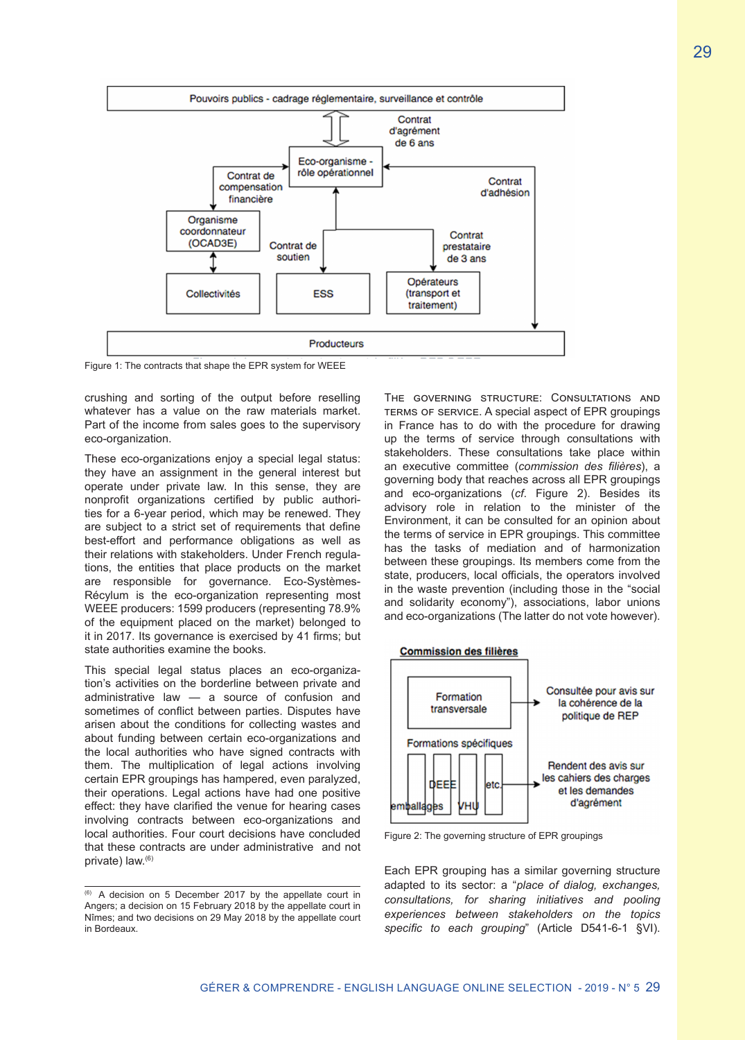

Figure 1: The contracts that shape the EPR system for WEEE

crushing and sorting of the output before reselling whatever has a value on the raw materials market. Part of the income from sales goes to the supervisory eco-organization.

These eco-organizations enjoy a special legal status: they have an assignment in the general interest but operate under private law. In this sense, they are nonprofit organizations certified by public authorities for a 6-year period, which may be renewed. They are subject to a strict set of requirements that define best-effort and performance obligations as well as their relations with stakeholders. Under French regulations, the entities that place products on the market are responsible for governance. Eco-Systèmes-Récylum is the eco-organization representing most WEEE producers: 1599 producers (representing 78.9% of the equipment placed on the market) belonged to it in 2017. Its governance is exercised by 41 firms; but state authorities examine the books.

This special legal status places an eco-organization's activities on the borderline between private and administrative law — a source of confusion and sometimes of conflict between parties. Disputes have arisen about the conditions for collecting wastes and about funding between certain eco-organizations and the local authorities who have signed contracts with them. The multiplication of legal actions involving certain EPR groupings has hampered, even paralyzed, their operations. Legal actions have had one positive effect: they have clarified the venue for hearing cases involving contracts between eco-organizations and local authorities. Four court decisions have concluded that these contracts are under administrative and not private) law.(6)

The governing structure: Consultations and terms of service. A special aspect of EPR groupings in France has to do with the procedure for drawing up the terms of service through consultations with stakeholders. These consultations take place within an executive committee (*commission des filières*), a governing body that reaches across all EPR groupings and eco-organizations (*cf*. Figure 2). Besides its advisory role in relation to the minister of the Environment, it can be consulted for an opinion about the terms of service in EPR groupings. This committee has the tasks of mediation and of harmonization between these groupings. Its members come from the state, producers, local officials, the operators involved in the waste prevention (including those in the "social and solidarity economy"), associations, labor unions and eco-organizations (The latter do not vote however).





Figure 2: The governing structure of EPR groupings

Each EPR grouping has a similar governing structure adapted to its sector: a "*place of dialog, exchanges, consultations, for sharing initiatives and pooling experiences between stakeholders on the topics specific to each grouping*" (Article D541-6-1 §VI).

<sup>(6)</sup> A decision on 5 December 2017 by the appellate court in Angers; a decision on 15 February 2018 by the appellate court in Nîmes; and two decisions on 29 May 2018 by the appellate court in Bordeaux.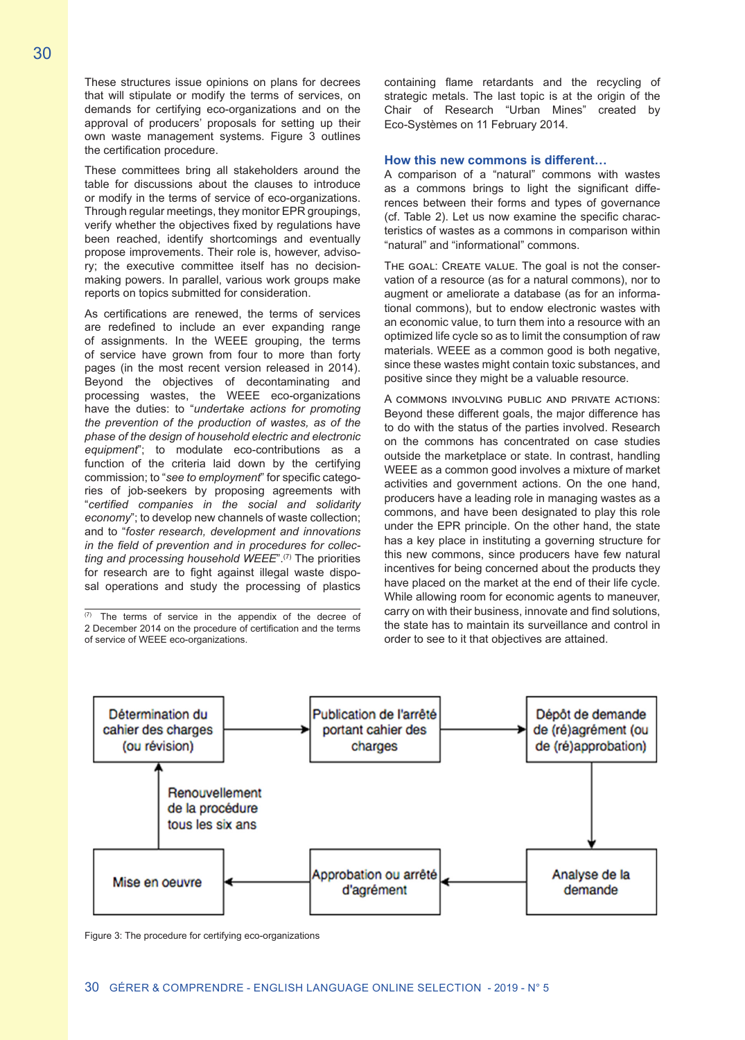These structures issue opinions on plans for decrees that will stipulate or modify the terms of services, on demands for certifying eco-organizations and on the approval of producers' proposals for setting up their own waste management systems. Figure 3 outlines the certification procedure.

These committees bring all stakeholders around the table for discussions about the clauses to introduce or modify in the terms of service of eco-organizations. Through regular meetings, they monitor EPR groupings, verify whether the objectives fixed by regulations have been reached, identify shortcomings and eventually propose improvements. Their role is, however, advisory; the executive committee itself has no decisionmaking powers. In parallel, various work groups make reports on topics submitted for consideration.

As certifications are renewed, the terms of services are redefined to include an ever expanding range of assignments. In the WEEE grouping, the terms of service have grown from four to more than forty pages (in the most recent version released in 2014). Beyond the objectives of decontaminating and processing wastes, the WEEE eco-organizations have the duties: to "*undertake actions for promoting the prevention of the production of wastes, as of the phase of the design of household electric and electronic equipment*"; to modulate eco-contributions as a function of the criteria laid down by the certifying commission; to "*see to employment*" for specific categories of job-seekers by proposing agreements with "*certified companies in the social and solidarity economy*"; to develop new channels of waste collection; and to "*foster research, development and innovations in the field of prevention and in procedures for collecting and processing household WEEE*".(7) The priorities for research are to fight against illegal waste disposal operations and study the processing of plastics

 $(7)$  The terms of service in the appendix of the decree of 2 December 2014 on the procedure of certification and the terms of service of WEEE eco-organizations.

containing flame retardants and the recycling of strategic metals. The last topic is at the origin of the Chair of Research "Urban Mines" created by Eco-Systèmes on 11 February 2014.

#### **How this new commons is different…**

A comparison of a "natural" commons with wastes as a commons brings to light the significant differences between their forms and types of governance (cf. Table 2). Let us now examine the specific characteristics of wastes as a commons in comparison within "natural" and "informational" commons.

The goal: Create value. The goal is not the conservation of a resource (as for a natural commons), nor to augment or ameliorate a database (as for an informational commons), but to endow electronic wastes with an economic value, to turn them into a resource with an optimized life cycle so as to limit the consumption of raw materials. WEEE as a common good is both negative, since these wastes might contain toxic substances, and positive since they might be a valuable resource.

A commons involving public and private actions: Beyond these different goals, the major difference has to do with the status of the parties involved. Research on the commons has concentrated on case studies outside the marketplace or state. In contrast, handling WEEE as a common good involves a mixture of market activities and government actions. On the one hand, producers have a leading role in managing wastes as a commons, and have been designated to play this role under the EPR principle. On the other hand, the state has a key place in instituting a governing structure for this new commons, since producers have few natural incentives for being concerned about the products they have placed on the market at the end of their life cycle. While allowing room for economic agents to maneuver, carry on with their business, innovate and find solutions, the state has to maintain its surveillance and control in order to see to it that objectives are attained.



Figure 3: The procedure for certifying eco-organizations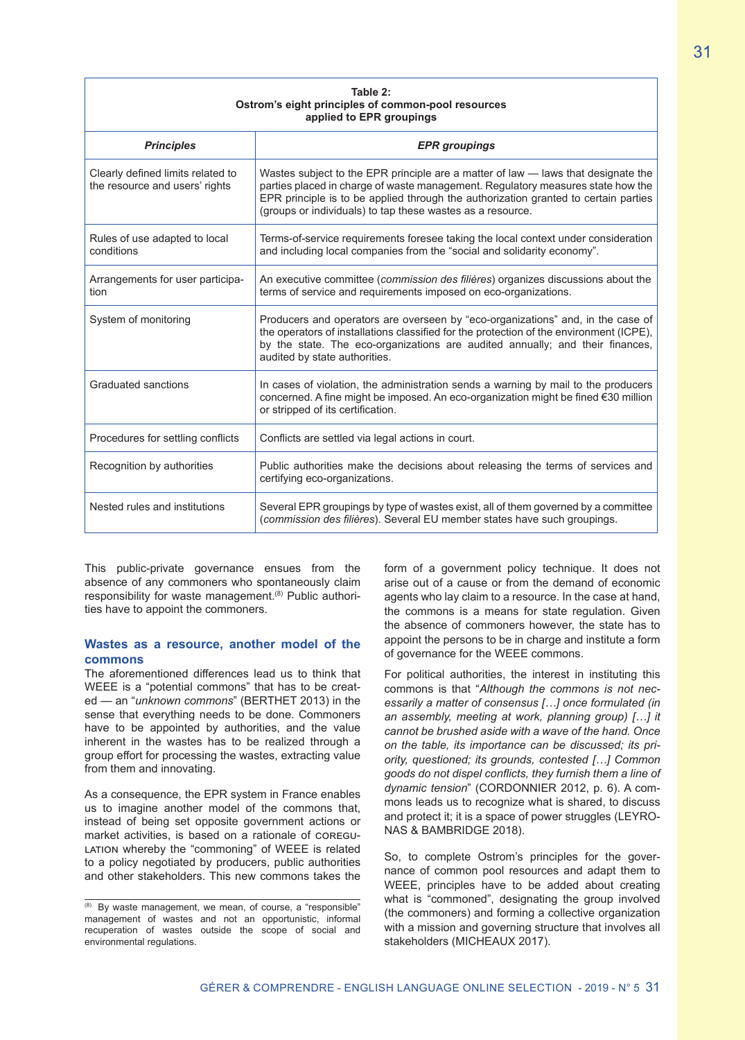| Table 2:<br>Ostrom's eight principles of common-pool resources<br>applied to EPR groupings |                                                                                                                                                                                                                                                                                                                           |  |
|--------------------------------------------------------------------------------------------|---------------------------------------------------------------------------------------------------------------------------------------------------------------------------------------------------------------------------------------------------------------------------------------------------------------------------|--|
| <b>Principles</b>                                                                          | <b>EPR</b> groupings                                                                                                                                                                                                                                                                                                      |  |
| Clearly defined limits related to<br>the resource and users' rights                        | Wastes subject to the EPR principle are a matter of law - laws that designate the<br>parties placed in charge of waste management. Regulatory measures state how the<br>EPR principle is to be applied through the authorization granted to certain parties<br>(groups or individuals) to tap these wastes as a resource. |  |
| Rules of use adapted to local<br>conditions                                                | Terms-of-service requirements foresee taking the local context under consideration<br>and including local companies from the "social and solidarity economy".                                                                                                                                                             |  |
| Arrangements for user participa-<br>tion                                                   | An executive committee (commission des filières) organizes discussions about the<br>terms of service and requirements imposed on eco-organizations.                                                                                                                                                                       |  |
| System of monitoring                                                                       | Producers and operators are overseen by "eco-organizations" and, in the case of<br>the operators of installations classified for the protection of the environment (ICPE),<br>by the state. The eco-organizations are audited annually; and their finances,<br>audited by state authorities.                              |  |
| Graduated sanctions                                                                        | In cases of violation, the administration sends a warning by mail to the producers<br>concerned. A fine might be imposed. An eco-organization might be fined €30 million<br>or stripped of its certification.                                                                                                             |  |
| Procedures for settling conflicts                                                          | Conflicts are settled via legal actions in court.                                                                                                                                                                                                                                                                         |  |
| Recognition by authorities                                                                 | Public authorities make the decisions about releasing the terms of services and<br>certifying eco-organizations.                                                                                                                                                                                                          |  |
| Nested rules and institutions                                                              | Several EPR groupings by type of wastes exist, all of them governed by a committee<br>(commission des filières). Several EU member states have such groupings.                                                                                                                                                            |  |

This public-private governance ensues from the absence of any commoners who spontaneously claim responsibility for waste management.<sup>(8)</sup> Public authorities have to appoint the commoners.

### **Wastes as a resource, another model of the commons**

The aforementioned differences lead us to think that WEEE is a "potential commons" that has to be created — an "*unknown commons*" (BERTHET 2013) in the sense that everything needs to be done. Commoners have to be appointed by authorities, and the value inherent in the wastes has to be realized through a group effort for processing the wastes, extracting value from them and innovating.

As a consequence, the EPR system in France enables us to imagine another model of the commons that, instead of being set opposite government actions or market activities, is based on a rationale of coregu-LATION whereby the "commoning" of WEEE is related to a policy negotiated by producers, public authorities and other stakeholders. This new commons takes the form of a government policy technique. It does not arise out of a cause or from the demand of economic agents who lay claim to a resource. In the case at hand, the commons is a means for state regulation. Given the absence of commoners however, the state has to appoint the persons to be in charge and institute a form of governance for the WEEE commons.

For political authorities, the interest in instituting this commons is that "*Although the commons is not necessarily a matter of consensus […] once formulated (in an assembly, meeting at work, planning group) […] it cannot be brushed aside with a wave of the hand. Once on the table, its importance can be discussed; its priority, questioned; its grounds, contested […] Common goods do not dispel conflicts, they furnish them a line of dynamic tension*" (CORDONNIER 2012, p. 6). A commons leads us to recognize what is shared, to discuss and protect it; it is a space of power struggles (LEYRO-NAS & BAMBRIDGE 2018).

So, to complete Ostrom's principles for the governance of common pool resources and adapt them to WEEE, principles have to be added about creating what is "commoned", designating the group involved (the commoners) and forming a collective organization with a mission and governing structure that involves all stakeholders (MICHEAUX 2017).

<sup>(8)</sup> By waste management, we mean, of course, a "responsible" management of wastes and not an opportunistic, informal recuperation of wastes outside the scope of social and environmental regulations.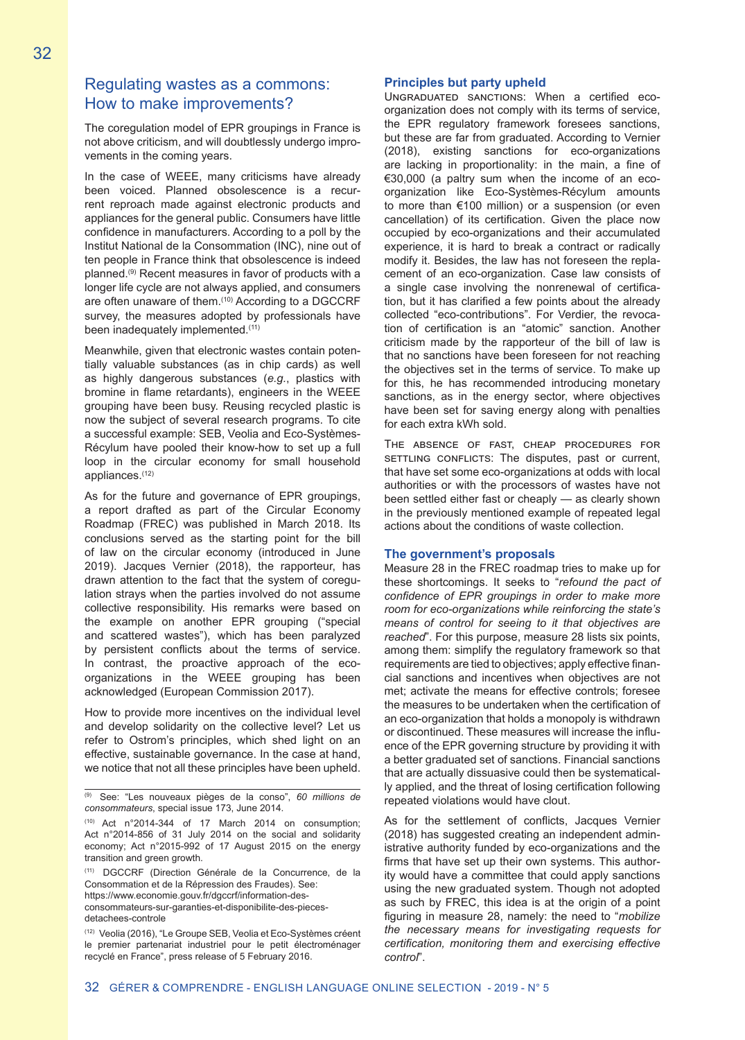# Regulating wastes as a commons: How to make improvements?

The coregulation model of EPR groupings in France is not above criticism, and will doubtlessly undergo improvements in the coming years.

In the case of WEEE, many criticisms have already been voiced. Planned obsolescence is a recurrent reproach made against electronic products and appliances for the general public. Consumers have little confidence in manufacturers. According to a poll by the Institut National de la Consommation (INC), nine out of ten people in France think that obsolescence is indeed planned.(9) Recent measures in favor of products with a longer life cycle are not always applied, and consumers are often unaware of them.(10) According to a DGCCRF survey, the measures adopted by professionals have been inadequately implemented.<sup>(11)</sup>

Meanwhile, given that electronic wastes contain potentially valuable substances (as in chip cards) as well as highly dangerous substances (*e.g.*, plastics with bromine in flame retardants), engineers in the WEEE grouping have been busy. Reusing recycled plastic is now the subject of several research programs. To cite a successful example: SEB, Veolia and Eco-Systèmes-Récylum have pooled their know-how to set up a full loop in the circular economy for small household appliances.(12)

As for the future and governance of EPR groupings, a report drafted as part of the Circular Economy Roadmap (FREC) was published in March 2018. Its conclusions served as the starting point for the bill of law on the circular economy (introduced in June 2019). Jacques Vernier (2018), the rapporteur, has drawn attention to the fact that the system of coregulation strays when the parties involved do not assume collective responsibility. His remarks were based on the example on another EPR grouping ("special and scattered wastes"), which has been paralyzed by persistent conflicts about the terms of service. In contrast, the proactive approach of the ecoorganizations in the WEEE grouping has been acknowledged (European Commission 2017).

How to provide more incentives on the individual level and develop solidarity on the collective level? Let us refer to Ostrom's principles, which shed light on an effective, sustainable governance. In the case at hand, we notice that not all these principles have been upheld.

(11) DGCCRF (Direction Générale de la Concurrence, de la Consommation et de la Répression des Fraudes). See: https://www.economie.gouv.fr/dgccrf/information-des-

consommateurs-sur-garanties-et-disponibilite-des-piecesdetachees-controle

#### **Principles but party upheld**

Ungraduated sanctions: When a certified ecoorganization does not comply with its terms of service, the EPR regulatory framework foresees sanctions, but these are far from graduated. According to Vernier (2018), existing sanctions for eco-organizations are lacking in proportionality: in the main, a fine of €30,000 (a paltry sum when the income of an ecoorganization like Eco-Systèmes-Récylum amounts to more than €100 million) or a suspension (or even cancellation) of its certification. Given the place now occupied by eco-organizations and their accumulated experience, it is hard to break a contract or radically modify it. Besides, the law has not foreseen the replacement of an eco-organization. Case law consists of a single case involving the nonrenewal of certification, but it has clarified a few points about the already collected "eco-contributions". For Verdier, the revocation of certification is an "atomic" sanction. Another criticism made by the rapporteur of the bill of law is that no sanctions have been foreseen for not reaching the objectives set in the terms of service. To make up for this, he has recommended introducing monetary sanctions, as in the energy sector, where objectives have been set for saving energy along with penalties for each extra kWh sold.

The absence of fast, cheap procedures for SETTLING CONFLICTS: The disputes, past or current, that have set some eco-organizations at odds with local authorities or with the processors of wastes have not been settled either fast or cheaply — as clearly shown in the previously mentioned example of repeated legal actions about the conditions of waste collection.

#### **The government's proposals**

Measure 28 in the FREC roadmap tries to make up for these shortcomings. It seeks to "*refound the pact of confidence of EPR groupings in order to make more room for eco-organizations while reinforcing the state's means of control for seeing to it that objectives are reached*". For this purpose, measure 28 lists six points, among them: simplify the regulatory framework so that requirements are tied to objectives; apply effective financial sanctions and incentives when objectives are not met; activate the means for effective controls; foresee the measures to be undertaken when the certification of an eco-organization that holds a monopoly is withdrawn or discontinued. These measures will increase the influence of the EPR governing structure by providing it with a better graduated set of sanctions. Financial sanctions that are actually dissuasive could then be systematically applied, and the threat of losing certification following repeated violations would have clout.

As for the settlement of conflicts, Jacques Vernier (2018) has suggested creating an independent administrative authority funded by eco-organizations and the firms that have set up their own systems. This authority would have a committee that could apply sanctions using the new graduated system. Though not adopted as such by FREC, this idea is at the origin of a point figuring in measure 28, namely: the need to "*mobilize the necessary means for investigating requests for certification, monitoring them and exercising effective control*".

<sup>(9)</sup> See: "Les nouveaux pièges de la conso", *60 millions de consommateurs*, special issue 173, June 2014.

 $(10)$  Act n°2014-344 of 17 March 2014 on consumption; Act n°2014-856 of 31 July 2014 on the social and solidarity economy; Act n°2015-992 of 17 August 2015 on the energy transition and green growth.

<sup>(12)</sup> Veolia (2016), "Le Groupe SEB, Veolia et Eco-Systèmes créent le premier partenariat industriel pour le petit électroménager recyclé en France", press release of 5 February 2016.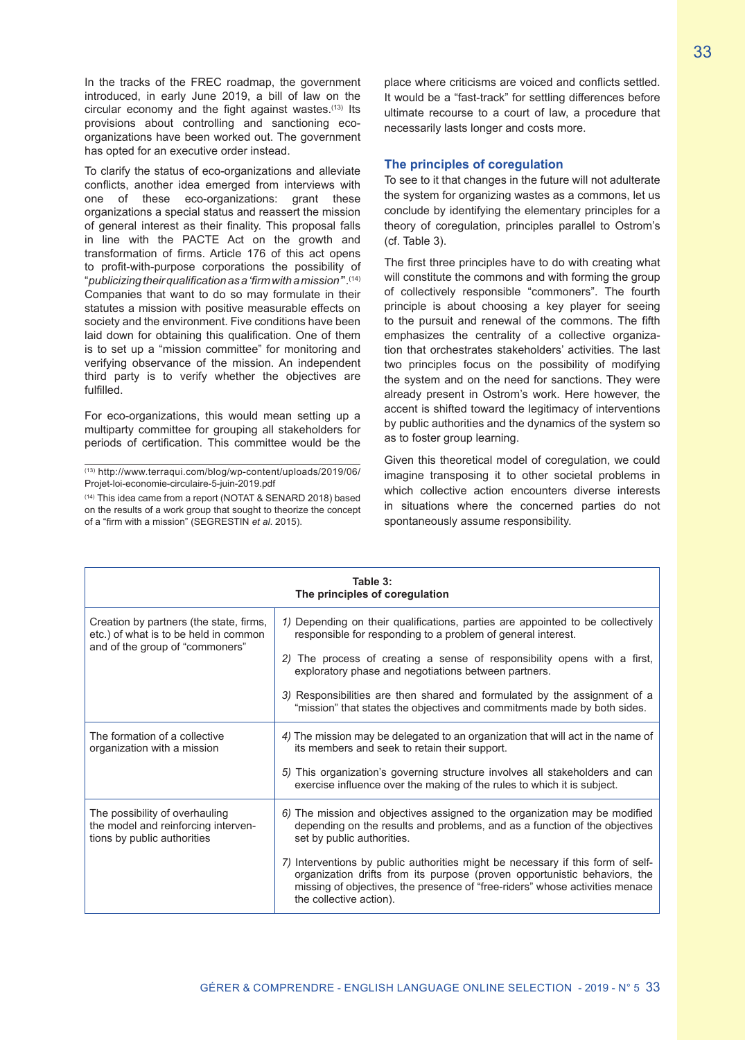In the tracks of the FREC roadmap, the government introduced, in early June 2019, a bill of law on the circular economy and the fight against wastes. $(13)$  Its provisions about controlling and sanctioning ecoorganizations have been worked out. The government has opted for an executive order instead.

To clarify the status of eco-organizations and alleviate conflicts, another idea emerged from interviews with one of these eco-organizations: grant these organizations a special status and reassert the mission of general interest as their finality. This proposal falls in line with the PACTE Act on the growth and transformation of firms. Article 176 of this act opens to profit-with-purpose corporations the possibility of "*publicizing their qualification as a 'firm with a mission'*".(14) Companies that want to do so may formulate in their statutes a mission with positive measurable effects on society and the environment. Five conditions have been laid down for obtaining this qualification. One of them is to set up a "mission committee" for monitoring and verifying observance of the mission. An independent third party is to verify whether the objectives are fulfilled.

For eco-organizations, this would mean setting up a multiparty committee for grouping all stakeholders for periods of certification. This committee would be the

(13) http://www.terraqui.com/blog/wp-content/uploads/2019/06/ Projet-loi-economie-circulaire-5-juin-2019.pdf

(14) This idea came from a report (NOTAT & SENARD 2018) based on the results of a work group that sought to theorize the concept of a "firm with a mission" (SEGRESTIN *et al*. 2015).

place where criticisms are voiced and conflicts settled. It would be a "fast-track" for settling differences before ultimate recourse to a court of law, a procedure that necessarily lasts longer and costs more.

#### **The principles of coregulation**

To see to it that changes in the future will not adulterate the system for organizing wastes as a commons, let us conclude by identifying the elementary principles for a theory of coregulation, principles parallel to Ostrom's (cf. Table 3).

The first three principles have to do with creating what will constitute the commons and with forming the group of collectively responsible "commoners". The fourth principle is about choosing a key player for seeing to the pursuit and renewal of the commons. The fifth emphasizes the centrality of a collective organization that orchestrates stakeholders' activities. The last two principles focus on the possibility of modifying the system and on the need for sanctions. They were already present in Ostrom's work. Here however, the accent is shifted toward the legitimacy of interventions by public authorities and the dynamics of the system so as to foster group learning.

Given this theoretical model of coregulation, we could imagine transposing it to other societal problems in which collective action encounters diverse interests in situations where the concerned parties do not spontaneously assume responsibility.

| Table 3:<br>The principles of coregulation                                                                          |                                                                                                                                                                                                                                                                         |  |
|---------------------------------------------------------------------------------------------------------------------|-------------------------------------------------------------------------------------------------------------------------------------------------------------------------------------------------------------------------------------------------------------------------|--|
| Creation by partners (the state, firms,<br>etc.) of what is to be held in common<br>and of the group of "commoners" | 1) Depending on their qualifications, parties are appointed to be collectively<br>responsible for responding to a problem of general interest.                                                                                                                          |  |
|                                                                                                                     | 2) The process of creating a sense of responsibility opens with a first,<br>exploratory phase and negotiations between partners.                                                                                                                                        |  |
|                                                                                                                     | 3) Responsibilities are then shared and formulated by the assignment of a<br>"mission" that states the objectives and commitments made by both sides.                                                                                                                   |  |
| The formation of a collective<br>organization with a mission                                                        | 4) The mission may be delegated to an organization that will act in the name of<br>its members and seek to retain their support.                                                                                                                                        |  |
|                                                                                                                     | 5) This organization's governing structure involves all stakeholders and can<br>exercise influence over the making of the rules to which it is subject.                                                                                                                 |  |
| The possibility of overhauling<br>the model and reinforcing interven-<br>tions by public authorities                | 6) The mission and objectives assigned to the organization may be modified<br>depending on the results and problems, and as a function of the objectives<br>set by public authorities.                                                                                  |  |
|                                                                                                                     | 7) Interventions by public authorities might be necessary if this form of self-<br>organization drifts from its purpose (proven opportunistic behaviors, the<br>missing of objectives, the presence of "free-riders" whose activities menace<br>the collective action). |  |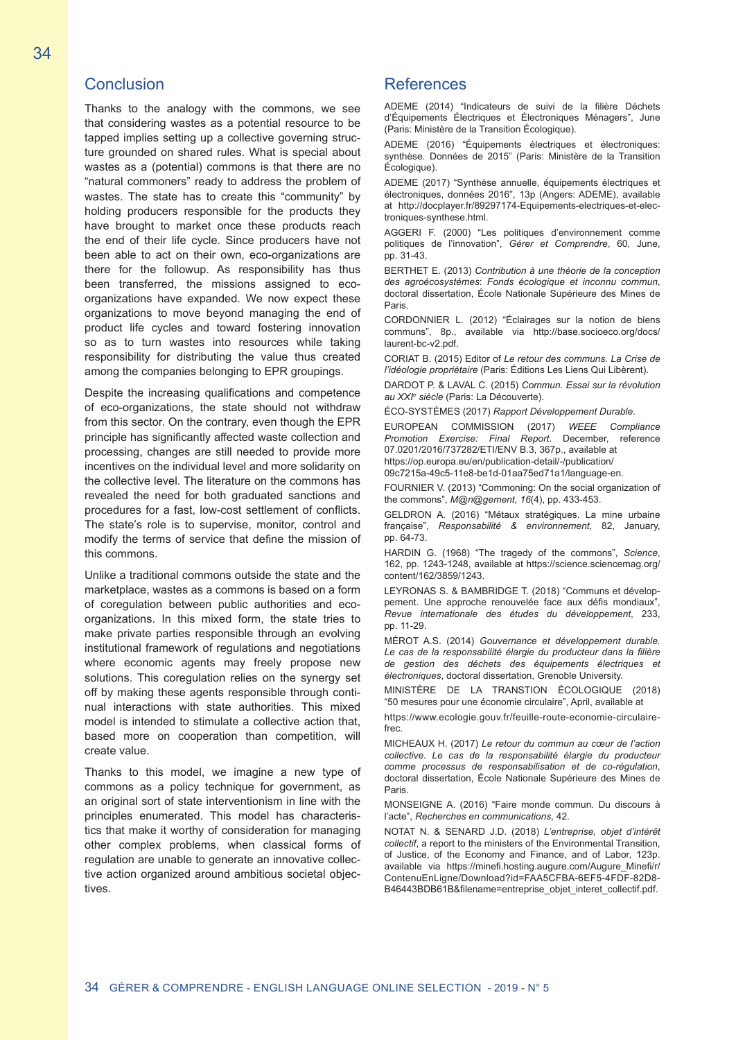# **Conclusion**

Thanks to the analogy with the commons, we see that considering wastes as a potential resource to be tapped implies setting up a collective governing structure grounded on shared rules. What is special about wastes as a (potential) commons is that there are no "natural commoners" ready to address the problem of wastes. The state has to create this "community" by holding producers responsible for the products they have brought to market once these products reach the end of their life cycle. Since producers have not been able to act on their own, eco-organizations are there for the followup. As responsibility has thus been transferred, the missions assigned to ecoorganizations have expanded. We now expect these organizations to move beyond managing the end of product life cycles and toward fostering innovation so as to turn wastes into resources while taking responsibility for distributing the value thus created among the companies belonging to EPR groupings.

Despite the increasing qualifications and competence of eco-organizations, the state should not withdraw from this sector. On the contrary, even though the EPR principle has significantly affected waste collection and processing, changes are still needed to provide more incentives on the individual level and more solidarity on the collective level. The literature on the commons has revealed the need for both graduated sanctions and procedures for a fast, low-cost settlement of conflicts. The state's role is to supervise, monitor, control and modify the terms of service that define the mission of this commons.

Unlike a traditional commons outside the state and the marketplace, wastes as a commons is based on a form of coregulation between public authorities and ecoorganizations. In this mixed form, the state tries to make private parties responsible through an evolving institutional framework of regulations and negotiations where economic agents may freely propose new solutions. This coregulation relies on the synergy set off by making these agents responsible through continual interactions with state authorities. This mixed model is intended to stimulate a collective action that, based more on cooperation than competition, will create value.

Thanks to this model, we imagine a new type of commons as a policy technique for government, as an original sort of state interventionism in line with the principles enumerated. This model has characteristics that make it worthy of consideration for managing other complex problems, when classical forms of regulation are unable to generate an innovative collective action organized around ambitious societal objectives.

## References

ADEME (2014) "Indicateurs de suivi de la filière Déchets d'Équipements Électriques et Électroniques Ménagers", June (Paris: Ministère de la Transition Écologique).

ADEME (2016) "Équipements électriques et électroniques: synthèse. Données de 2015" (Paris: Ministère de la Transition Écologique).

ADEME (2017) "Synthèse annuelle, é́quipements électriques et électroniques, données 2016", 13p (Angers: ADEME), available at http://docplayer.fr/89297174-Equipements-electriques-et-electroniques-synthese.html.

AGGERI F. (2000) "Les politiques d'environnement comme politiques de l'innovation", *Gérer et Comprendre*, 60, June, pp. 31-43.

BERTHET E. (2013) *Contribution à une théorie de la conception des agroécosystèmes*: *Fonds écologique et inconnu commun*, doctoral dissertation, École Nationale Supérieure des Mines de Paris.

CORDONNIER L. (2012) "Éclairages sur la notion de biens communs", 8p., available via http://base.socioeco.org/docs/ laurent-bc-v2.pdf.

CORIAT B. (2015) Editor of *Le retour des communs. La Crise de l'idéologie propriétaire* (Paris: Éditions Les Liens Qui Libèrent).

DARDOT P. & LAVAL C. (2015) *Commun. Essai sur la révolution au XXIe siècle* (Paris: La Découverte).

ÉCO-SYSTÈMES (2017) *Rapport Développement Durable*.

EUROPEAN COMMISSION (2017) *WEEE Compliance Promotion Exercise: Final Report*. December, reference 07.0201/2016/737282/ETI/ENV B.3, 367p., available at https://op.europa.eu/en/publication-detail/-/publication/

09c7215a-49c5-11e8-be1d-01aa75ed71a1/language-en.

FOURNIER V. (2013) "Commoning: On the social organization of the commons", *M@n@gement*, *16*(4), pp. 433-453.

GELDRON A. (2016) "Métaux stratégiques. La mine urbaine française", *Responsabilité & environnement*, 82, January, pp. 64-73.

HARDIN G. (1968) "The tragedy of the commons", *Science*, 162, pp. 1243-1248, available at https://science.sciencemag.org/ content/162/3859/1243.

LEYRONAS S. & BAMBRIDGE T. (2018) "Communs et développement. Une approche renouvelée face aux défis mondiaux" *Revue internationale des études du développement*, 233, pp. 11-29.

MÉROT A.S. (2014) *Gouvernance et développement durable. Le cas de la responsabilité élargie du producteur dans la filière de gestion des déchets des équipements électriques et électroniques*, doctoral dissertation, Grenoble University.

MINISTÈRE DE LA TRANSTION ÉCOLOGIQUE (2018) "50 mesures pour une économie circulaire", April, available at

https://www.ecologie.gouv.fr/feuille-route-economie-circulairefrec.

MICHEAUX H. (2017) *Le retour du commun au cœur de l'action collective. Le cas de la responsabilité élargie du producteur comme processus de responsabilisation et de co-régulation*, doctoral dissertation, École Nationale Supérieure des Mines de Paris.

MONSEIGNE A. (2016) "Faire monde commun. Du discours à l'acte", *Recherches en communications*, 42.

NOTAT N. & SENARD J.D. (2018) *L'entreprise, objet d'intérêt collectif*, a report to the ministers of the Environmental Transition, of Justice, of the Economy and Finance, and of Labor, 123p. available via https://minefi.hosting.augure.com/Augure\_Minefi/r/ ContenuEnLigne/Download?id=FAA5CFBA-6EF5-4FDF-82D8-B46443BDB61B&filename=entreprise\_objet\_interet\_collectif.pdf.